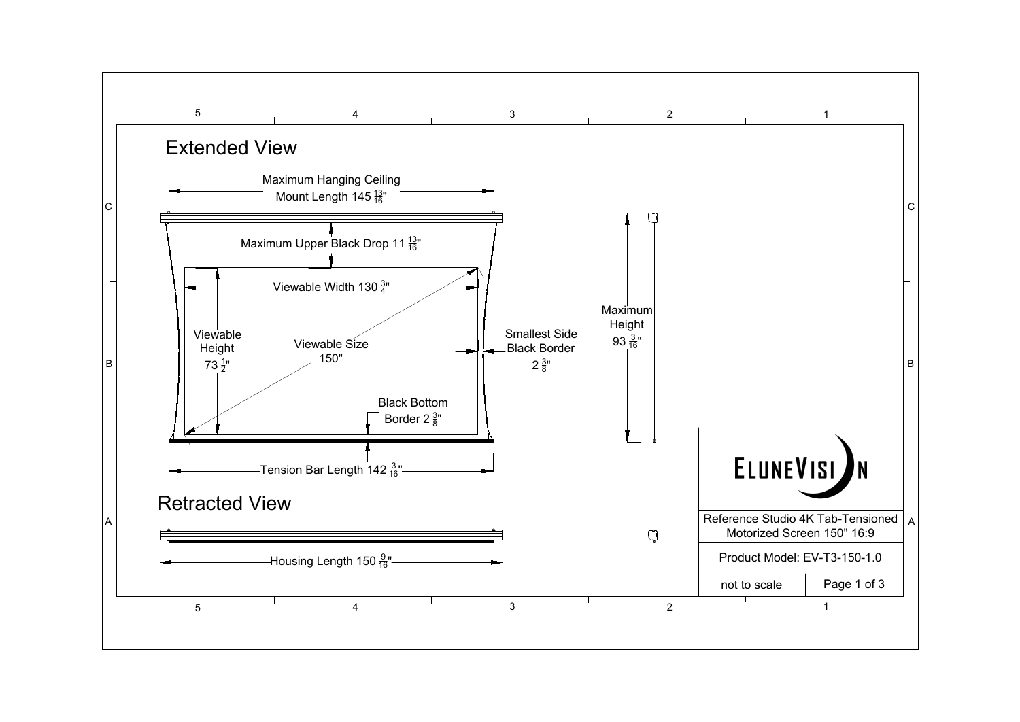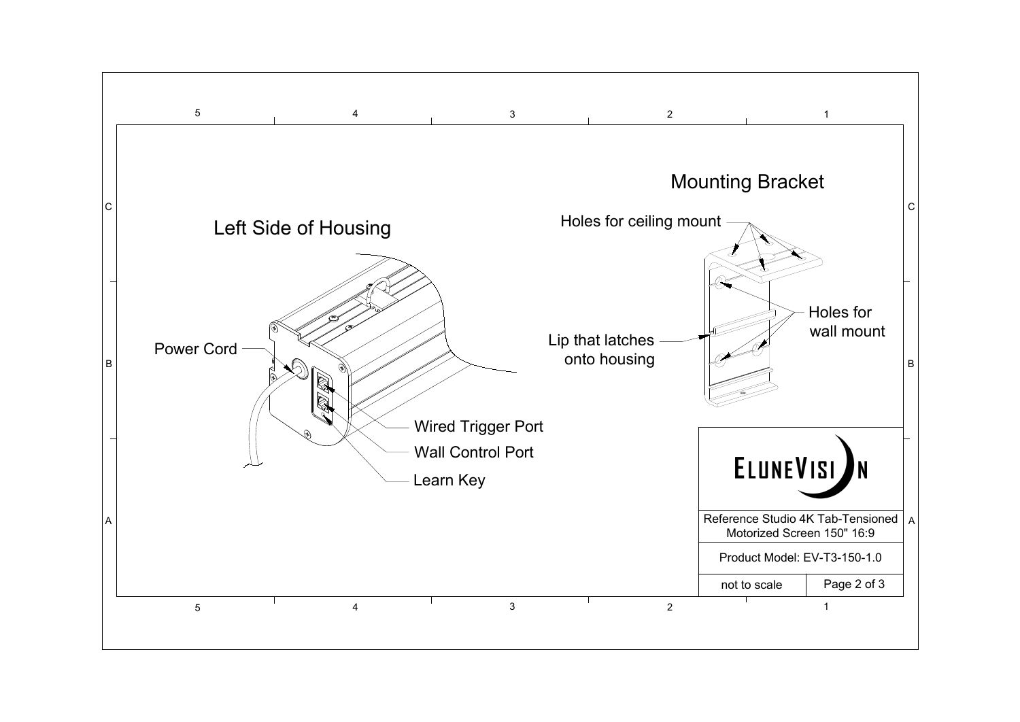

# Left Side of Housing

 $\mathbb{R}$ 



Learn Key Wall Control Port Wired Trigger Port

# $\frac{4}{3}$  and  $\frac{2}{1}$ Mounting Bracket Holes for ceiling mount Lip that latches onto housing ELUNEVISI Reference Studio 4K Tab-Tensioned | A | Motorized Screen 150" 16:9 Product Model: EV-T3-150-1.0 not to scale Page 2 of 3  $\frac{4}{3}$  and  $\frac{2}{1}$